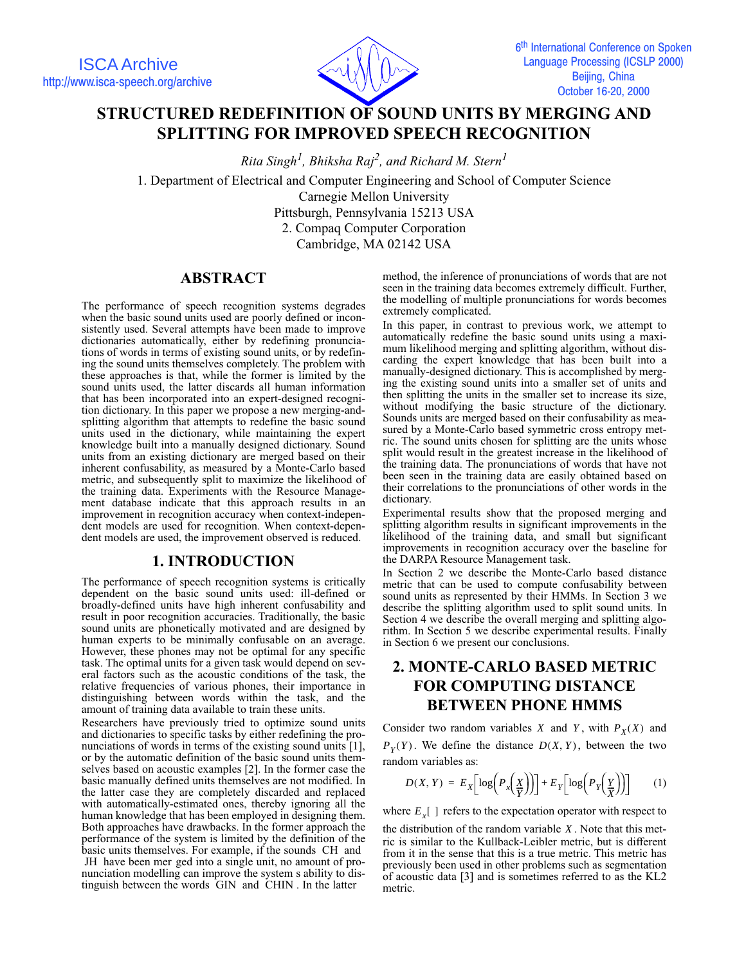

# **STRUCTURED REDEFINITION OF SOUND UNITS BY MERGING AND SPLITTING FOR IMPROVED SPEECH RECOGNITION**

*Rita Singh1 , Bhiksha Raj2 , and Richard M. Stern1*

1. Department of Electrical and Computer Engineering and School of Computer Science Carnegie Mellon University Pittsburgh, Pennsylvania 15213 USA 2. Compaq Computer Corporation

Cambridge, MA 02142 USA

### **ABSTRACT**

The performance of speech recognition systems degrades when the basic sound units used are poorly defined or inconsistently used. Several attempts have been made to improve dictionaries automatically, either by redefining pronunciations of words in terms of existing sound units, or by redefining the sound units themselves completely. The problem with these approaches is that, while the former is limited by the sound units used, the latter discards all human information that has been incorporated into an expert-designed recognition dictionary. In this paper we propose a new merging-andsplitting algorithm that attempts to redefine the basic sound units used in the dictionary, while maintaining the expert knowledge built into a manually designed dictionary. Sound units from an existing dictionary are merged based on their inherent confusability, as measured by a Monte-Carlo based metric, and subsequently split to maximize the likelihood of the training data. Experiments with the Resource Management database indicate that this approach results in an improvement in recognition accuracy when context-independent models are used for recognition. When context-dependent models are used, the improvement observed is reduced.

### **1. INTRODUCTION**

The performance of speech recognition systems is critically dependent on the basic sound units used: ill-defined or broadly-defined units have high inherent confusability and result in poor recognition accuracies. Traditionally, the basic sound units are phonetically motivated and are designed by human experts to be minimally confusable on an average. However, these phones may not be optimal for any specific task. The optimal units for a given task would depend on several factors such as the acoustic conditions of the task, the relative frequencies of various phones, their importance in distinguishing between words within the task, and the amount of training data available to train these units.

Researchers have previously tried to optimize sound units and dictionaries to specific tasks by either redefining the pronunciations of words in terms of the existing sound units [1], or by the automatic definition of the basic sound units themselves based on acoustic examples [2]. In the former case the basic manually defined units themselves are not modified. In the latter case they are completely discarded and replaced with automatically-estimated ones, thereby ignoring all the human knowledge that has been employed in designing them. Both approaches have drawbacks. In the former approach the performance of the system is limited by the definition of the basic units themselves. For example, if the sounds CH and JH have been mer ged into a single unit, no amount of pronunciation modelling can improve the system s ability to distinguish between the words GIN and CHIN . In the latter

method, the inference of pronunciations of words that are not seen in the training data becomes extremely difficult. Further, the modelling of multiple pronunciations for words becomes extremely complicated.

In this paper, in contrast to previous work, we attempt to automatically redefine the basic sound units using a maximum likelihood merging and splitting algorithm, without discarding the expert knowledge that has been built into a manually-designed dictionary. This is accomplished by merging the existing sound units into a smaller set of units and then splitting the units in the smaller set to increase its size, without modifying the basic structure of the dictionary. Sounds units are merged based on their confusability as measured by a Monte-Carlo based symmetric cross entropy metric. The sound units chosen for splitting are the units whose split would result in the greatest increase in the likelihood of the training data. The pronunciations of words that have not been seen in the training data are easily obtained based on their correlations to the pronunciations of other words in the dictionary.

Experimental results show that the proposed merging and splitting algorithm results in significant improvements in the likelihood of the training data, and small but significant improvements in recognition accuracy over the baseline for the DARPA Resource Management task.

In Section 2 we describe the Monte-Carlo based distance metric that can be used to compute confusability between sound units as represented by their HMMs. In Section 3 we describe the splitting algorithm used to split sound units. In Section 4 we describe the overall merging and splitting algorithm. In Section 5 we describe experimental results. Finally in Section 6 we present our conclusions.

## **2. MONTE-CARLO BASED METRIC FOR COMPUTING DISTANCE BETWEEN PHONE HMMS**

Consider two random variables X and Y, with  $P_X(X)$  and  $P_Y(Y)$ . We define the distance  $D(X, Y)$ , between the two random variables as:

$$
D(X, Y) = E_X \left[ \log \left( P_x \left( \frac{X}{Y} \right) \right) \right] + E_Y \left[ \log \left( P_Y \left( \frac{Y}{X} \right) \right) \right] \tag{1}
$$

where  $E_x[$  ] refers to the expectation operator with respect to

the distribution of the random variable  $X$ . Note that this metric is similar to the Kullback-Leibler metric, but is different from it in the sense that this is a true metric. This metric has previously been used in other problems such as segmentation of acoustic data [3] and is sometimes referred to as the KL2 metric.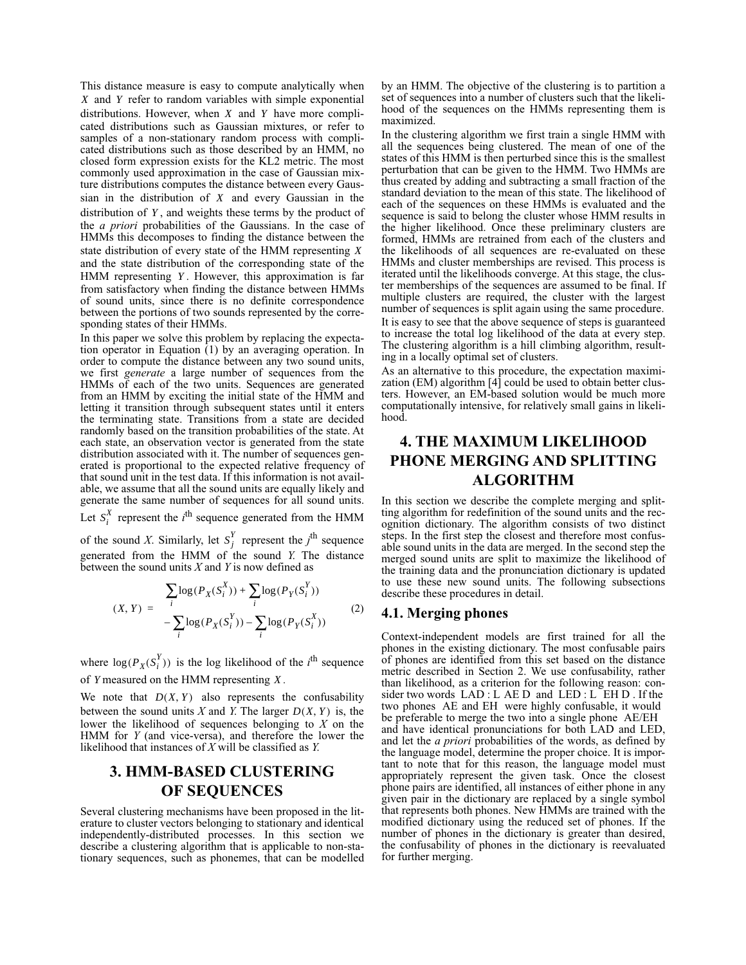This distance measure is easy to compute analytically when X and Y refer to random variables with simple exponential distributions. However, when  $X$  and  $Y$  have more complicated distributions such as Gaussian mixtures, or refer to samples of a non-stationary random process with complicated distributions such as those described by an HMM, no closed form expression exists for the KL2 metric. The most commonly used approximation in the case of Gaussian mixture distributions computes the distance between every Gaussian in the distribution of  $X$  and every Gaussian in the distribution of Y, and weights these terms by the product of the *a priori* probabilities of the Gaussians. In the case of HMMs this decomposes to finding the distance between the state distribution of every state of the HMM representing *X* and the state distribution of the corresponding state of the HMM representing *Y*. However, this approximation is far from satisfactory when finding the distance between HMMs of sound units, since there is no definite correspondence between the portions of two sounds represented by the corresponding states of their HMMs.

In this paper we solve this problem by replacing the expectation operator in Equation (1) by an averaging operation. In order to compute the distance between any two sound units, we first *generate* a large number of sequences from the HMMs of each of the two units. Sequences are generated from an HMM by exciting the initial state of the HMM and letting it transition through subsequent states until it enters the terminating state. Transitions from a state are decided randomly based on the transition probabilities of the state. At each state, an observation vector is generated from the state distribution associated with it. The number of sequences generated is proportional to the expected relative frequency of that sound unit in the test data. If this information is not available, we assume that all the sound units are equally likely and generate the same number of sequences for all sound units.

Let  $S_i^X$  represent the *i*<sup>th</sup> sequence generated from the HMM

of the sound *X*. Similarly, let  $S_i^Y$  represent the *j*<sup>th</sup> sequence generated from the HMM of the sound *Y*. The distance between the sound units *X* and *Y* is now defined as  $S_j^Y$ 

$$
(X, Y) = \frac{\sum_{i} \log(P_X(S_i^X)) + \sum_{i} \log(P_Y(S_i^Y))}{-\sum_{i} \log(P_X(S_i^Y)) - \sum_{i} \log(P_Y(S_i^X))}
$$
(2)

where  $\log(P_X(S_i^Y))$  is the log likelihood of the *i*<sup>th</sup> sequence of *Y* measured on the HMM representing  $X$ .

We note that  $D(X, Y)$  also represents the confusability between the sound units  $X$  and  $Y$ . The larger  $D(X, Y)$  is, the lower the likelihood of sequences belonging to *X* on the HMM for *Y* (and vice-versa), and therefore the lower the likelihood that instances of *X* will be classified as *Y*.

## **3. HMM-BASED CLUSTERING OF SEQUENCES**

Several clustering mechanisms have been proposed in the literature to cluster vectors belonging to stationary and identical independently-distributed processes. In this section we describe a clustering algorithm that is applicable to non-stationary sequences, such as phonemes, that can be modelled by an HMM. The objective of the clustering is to partition a set of sequences into a number of clusters such that the likelihood of the sequences on the HMMs representing them is maximized.

In the clustering algorithm we first train a single HMM with all the sequences being clustered. The mean of one of the states of this HMM is then perturbed since this is the smallest perturbation that can be given to the HMM. Two HMMs are thus created by adding and subtracting a small fraction of the standard deviation to the mean of this state. The likelihood of each of the sequences on these HMMs is evaluated and the sequence is said to belong the cluster whose HMM results in the higher likelihood. Once these preliminary clusters are formed, HMMs are retrained from each of the clusters and the likelihoods of all sequences are re-evaluated on these HMMs and cluster memberships are revised. This process is iterated until the likelihoods converge. At this stage, the cluster memberships of the sequences are assumed to be final. If multiple clusters are required, the cluster with the largest number of sequences is split again using the same procedure. It is easy to see that the above sequence of steps is guaranteed to increase the total log likelihood of the data at every step. The clustering algorithm is a hill climbing algorithm, resulting in a locally optimal set of clusters.

As an alternative to this procedure, the expectation maximization (EM) algorithm  $[4]$  could be used to obtain better clusters. However, an EM-based solution would be much more computationally intensive, for relatively small gains in likelihood.

# **4. THE MAXIMUM LIKELIHOOD PHONE MERGING AND SPLITTING ALGORITHM**

In this section we describe the complete merging and splitting algorithm for redefinition of the sound units and the recognition dictionary. The algorithm consists of two distinct steps. In the first step the closest and therefore most confusable sound units in the data are merged. In the second step the merged sound units are split to maximize the likelihood of the training data and the pronunciation dictionary is updated to use these new sound units. The following subsections describe these procedures in detail.

#### **4.1. Merging phones**

Context-independent models are first trained for all the phones in the existing dictionary. The most confusable pairs of phones are identified from this set based on the distance metric described in Section 2. We use confusability, rather than likelihood, as a criterion for the following reason: consider two words LAD : L AE D and LED : L EH D . If the two phones AE and EH were highly confusable, it would be preferable to merge the two into a single phone AE/EH and have identical pronunciations for both LAD and LED, and let the *a priori* probabilities of the words, as defined by the language model, determine the proper choice. It is important to note that for this reason, the language model must appropriately represent the given task. Once the closest phone pairs are identified, all instances of either phone in any given pair in the dictionary are replaced by a single symbol that represents both phones. New HMMs are trained with the modified dictionary using the reduced set of phones. If the number of phones in the dictionary is greater than desired, the confusability of phones in the dictionary is reevaluated for further merging.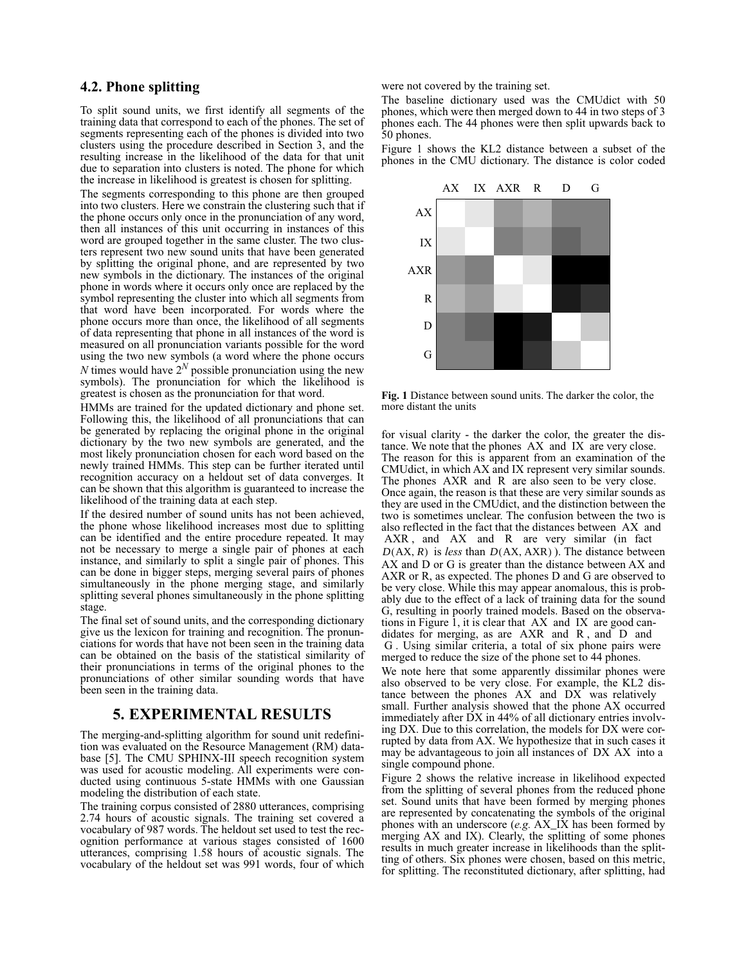#### **4.2. Phone splitting**

To split sound units, we first identify all segments of the training data that correspond to each of the phones. The set of segments representing each of the phones is divided into two clusters using the procedure described in Section 3, and the resulting increase in the likelihood of the data for that unit due to separation into clusters is noted. The phone for which the increase in likelihood is greatest is chosen for splitting.

The segments corresponding to this phone are then grouped into two clusters. Here we constrain the clustering such that if the phone occurs only once in the pronunciation of any word, then all instances of this unit occurring in instances of this word are grouped together in the same cluster. The two clusters represent two new sound units that have been generated by splitting the original phone, and are represented by two new symbols in the dictionary. The instances of the original phone in words where it occurs only once are replaced by the symbol representing the cluster into which all segments from that word have been incorporated. For words where the phone occurs more than once, the likelihood of all segments of data representing that phone in all instances of the word is measured on all pronunciation variants possible for the word using the two new symbols (a word where the phone occurs *N* times would have  $2^N$  possible pronunciation using the new symbols). The pronunciation for which the likelihood is greatest is chosen as the pronunciation for that word.

HMMs are trained for the updated dictionary and phone set. Following this, the likelihood of all pronunciations that can be generated by replacing the original phone in the original dictionary by the two new symbols are generated, and the most likely pronunciation chosen for each word based on the newly trained HMMs. This step can be further iterated until recognition accuracy on a heldout set of data converges. It can be shown that this algorithm is guaranteed to increase the likelihood of the training data at each step.

If the desired number of sound units has not been achieved, the phone whose likelihood increases most due to splitting can be identified and the entire procedure repeated. It may not be necessary to merge a single pair of phones at each instance, and similarly to split a single pair of phones. This can be done in bigger steps, merging several pairs of phones simultaneously in the phone merging stage, and similarly splitting several phones simultaneously in the phone splitting stage.

The final set of sound units, and the corresponding dictionary give us the lexicon for training and recognition. The pronunciations for words that have not been seen in the training data can be obtained on the basis of the statistical similarity of their pronunciations in terms of the original phones to the pronunciations of other similar sounding words that have been seen in the training data.

#### **5. EXPERIMENTAL RESULTS**

The merging-and-splitting algorithm for sound unit redefinition was evaluated on the Resource Management (RM) database [5]. The CMU SPHINX-III speech recognition system was used for acoustic modeling. All experiments were conducted using continuous 5-state HMMs with one Gaussian modeling the distribution of each state.

The training corpus consisted of 2880 utterances, comprising 2.74 hours of acoustic signals. The training set covered a vocabulary of 987 words. The heldout set used to test the recognition performance at various stages consisted of 1600 utterances, comprising 1.58 hours of acoustic signals. The vocabulary of the heldout set was 991 words, four of which were not covered by the training set.

The baseline dictionary used was the CMUdict with 50 phones, which were then merged down to 44 in two steps of 3 phones each. The 44 phones were then split upwards back to 50 phones.

Figure 1 shows the KL2 distance between a subset of the phones in the CMU dictionary. The distance is color coded



**Fig. 1** Distance between sound units. The darker the color, the more distant the units

for visual clarity - the darker the color, the greater the distance. We note that the phones AX and IX are very close. The reason for this is apparent from an examination of the CMUdict, in which AX and IX represent very similar sounds. The phones AXR and R are also seen to be very close. Once again, the reason is that these are very similar sounds as they are used in the CMUdict, and the distinction between the two is sometimes unclear. The confusion between the two is also reflected in the fact that the distances between AX and AXR, and AX and R are very similar (in fact  $D(AX, R)$  is *less* than  $D(AX, AXR)$ ). The distance between AX and D or G is greater than the distance between AX and AXR or R, as expected. The phones D and G are observed to be very close. While this may appear anomalous, this is probably due to the effect of a lack of training data for the sound G, resulting in poorly trained models. Based on the observations in Figure 1, it is clear that AX and IX are good candidates for merging, as are AXR and R , and D and G . Using similar criteria, a total of six phone pairs were merged to reduce the size of the phone set to 44 phones.

We note here that some apparently dissimilar phones were also observed to be very close. For example, the KL2 distance between the phones AX and DX was relatively small. Further analysis showed that the phone AX occurred immediately after DX in 44% of all dictionary entries involving DX. Due to this correlation, the models for DX were corrupted by data from AX. We hypothesize that in such cases it may be advantageous to join all instances of DX AX into a single compound phone.

Figure 2 shows the relative increase in likelihood expected from the splitting of several phones from the reduced phone set. Sound units that have been formed by merging phones are represented by concatenating the symbols of the original phones with an underscore (*e.g.* AX\_IX has been formed by merging AX and IX). Clearly, the splitting of some phones results in much greater increase in likelihoods than the splitting of others. Six phones were chosen, based on this metric, for splitting. The reconstituted dictionary, after splitting, had